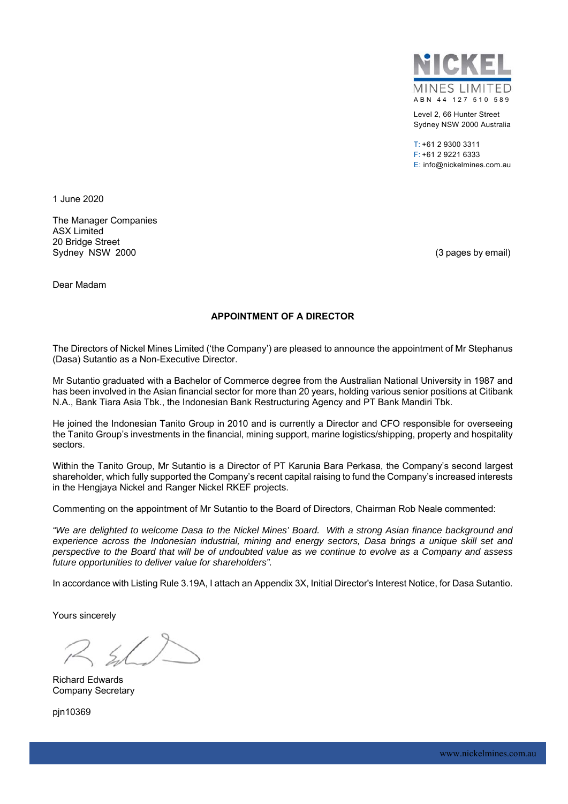

Level 2, 66 Hunter Street Sydney NSW 2000 Australia

T: +61 2 9300 3311 F: +61 2 9221 6333 E: info@nickelmines.com.au

1 June 2020

The Manager Companies ASX Limited 20 Bridge Street Sydney NSW 2000 (3 pages by email)

Dear Madam

### **APPOINTMENT OF A DIRECTOR**

The Directors of Nickel Mines Limited ('the Company') are pleased to announce the appointment of Mr Stephanus (Dasa) Sutantio as a Non-Executive Director.

Mr Sutantio graduated with a Bachelor of Commerce degree from the Australian National University in 1987 and has been involved in the Asian financial sector for more than 20 years, holding various senior positions at Citibank N.A., Bank Tiara Asia Tbk., the Indonesian Bank Restructuring Agency and PT Bank Mandiri Tbk.

He joined the Indonesian Tanito Group in 2010 and is currently a Director and CFO responsible for overseeing the Tanito Group's investments in the financial, mining support, marine logistics/shipping, property and hospitality sectors.

Within the Tanito Group, Mr Sutantio is a Director of PT Karunia Bara Perkasa, the Company's second largest shareholder, which fully supported the Company's recent capital raising to fund the Company's increased interests in the Hengjaya Nickel and Ranger Nickel RKEF projects.

Commenting on the appointment of Mr Sutantio to the Board of Directors, Chairman Rob Neale commented:

*"We are delighted to welcome Dasa to the Nickel Mines' Board. With a strong Asian finance background and experience across the Indonesian industrial, mining and energy sectors, Dasa brings a unique skill set and perspective to the Board that will be of undoubted value as we continue to evolve as a Company and assess future opportunities to deliver value for shareholders".* 

In accordance with Listing Rule 3.19A, I attach an Appendix 3X, Initial Director's Interest Notice, for Dasa Sutantio.

Yours sincerely

Richard Edwards Company Secretary

pjn10369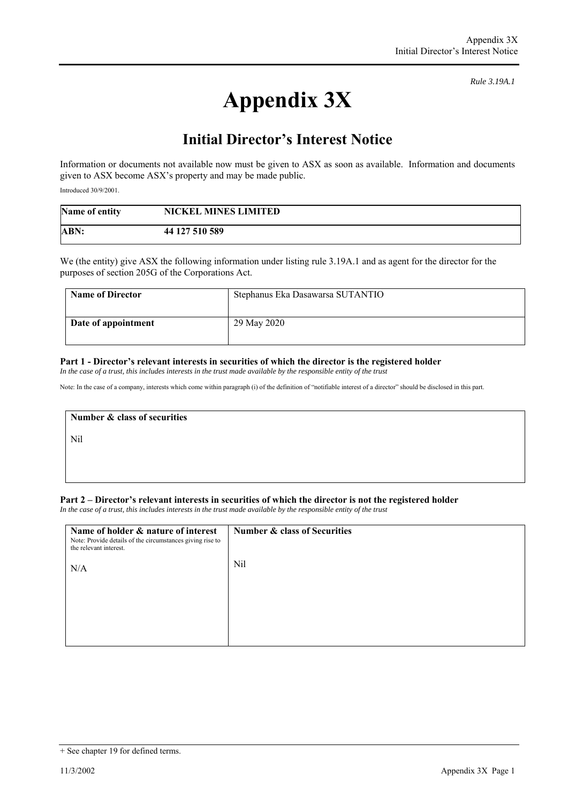*Rule 3.19A.1*

# **Appendix 3X**

## **Initial Director's Interest Notice**

Information or documents not available now must be given to ASX as soon as available. Information and documents given to ASX become ASX's property and may be made public.

Introduced 30/9/2001.

| Name of entity | <b>NICKEL MINES LIMITED</b> |
|----------------|-----------------------------|
| ABN:           | 44 127 510 589              |

We (the entity) give ASX the following information under listing rule 3.19A.1 and as agent for the director for the purposes of section 205G of the Corporations Act.

| <b>Name of Director</b> | Stephanus Eka Dasawarsa SUTANTIO |
|-------------------------|----------------------------------|
| Date of appointment     | 29 May 2020                      |

#### **Part 1 - Director's relevant interests in securities of which the director is the registered holder**

*In the case of a trust, this includes interests in the trust made available by the responsible entity of the trust*

Note: In the case of a company, interests which come within paragraph (i) of the definition of "notifiable interest of a director" should be disclosed in this part.

**Number & class of securities**  Nil

#### **Part 2 – Director's relevant interests in securities of which the director is not the registered holder**

*In the case of a trust, this includes interests in the trust made available by the responsible entity of the trust*

| Name of holder & nature of interest<br>Note: Provide details of the circumstances giving rise to<br>the relevant interest. | Number & class of Securities |
|----------------------------------------------------------------------------------------------------------------------------|------------------------------|
| N/A                                                                                                                        | Nil                          |
|                                                                                                                            |                              |
|                                                                                                                            |                              |

<sup>+</sup> See chapter 19 for defined terms.